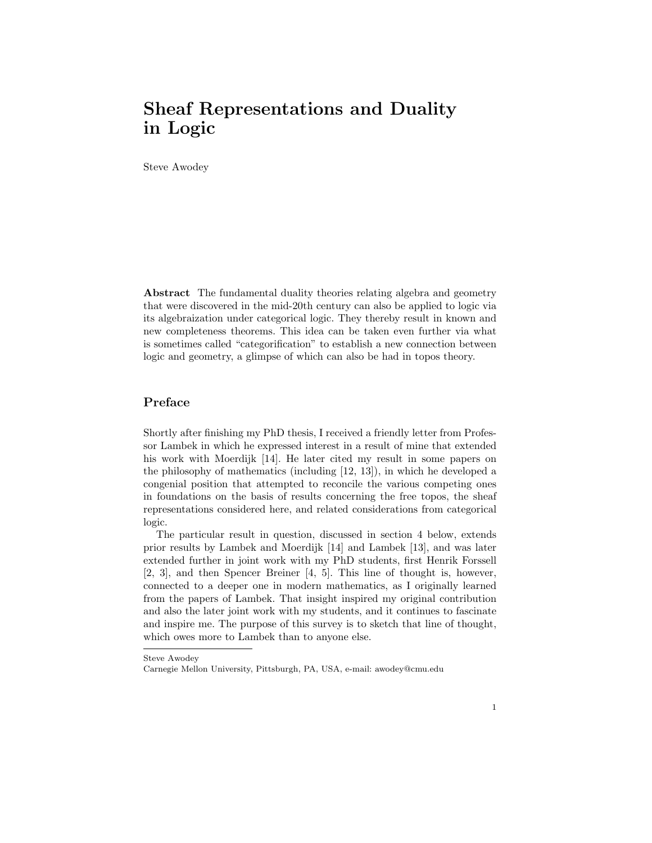# Sheaf Representations and Duality in Logic

Steve Awodey

Abstract The fundamental duality theories relating algebra and geometry that were discovered in the mid-20th century can also be applied to logic via its algebraization under categorical logic. They thereby result in known and new completeness theorems. This idea can be taken even further via what is sometimes called "categorification" to establish a new connection between logic and geometry, a glimpse of which can also be had in topos theory.

# Preface

Shortly after finishing my PhD thesis, I received a friendly letter from Professor Lambek in which he expressed interest in a result of mine that extended his work with Moerdijk [14]. He later cited my result in some papers on the philosophy of mathematics (including [12, 13]), in which he developed a congenial position that attempted to reconcile the various competing ones in foundations on the basis of results concerning the free topos, the sheaf representations considered here, and related considerations from categorical logic.

The particular result in question, discussed in section 4 below, extends prior results by Lambek and Moerdijk [14] and Lambek [13], and was later extended further in joint work with my PhD students, first Henrik Forssell [2, 3], and then Spencer Breiner [4, 5]. This line of thought is, however, connected to a deeper one in modern mathematics, as I originally learned from the papers of Lambek. That insight inspired my original contribution and also the later joint work with my students, and it continues to fascinate and inspire me. The purpose of this survey is to sketch that line of thought, which owes more to Lambek than to anyone else.

Steve Awodey

Carnegie Mellon University, Pittsburgh, PA, USA, e-mail: awodey@cmu.edu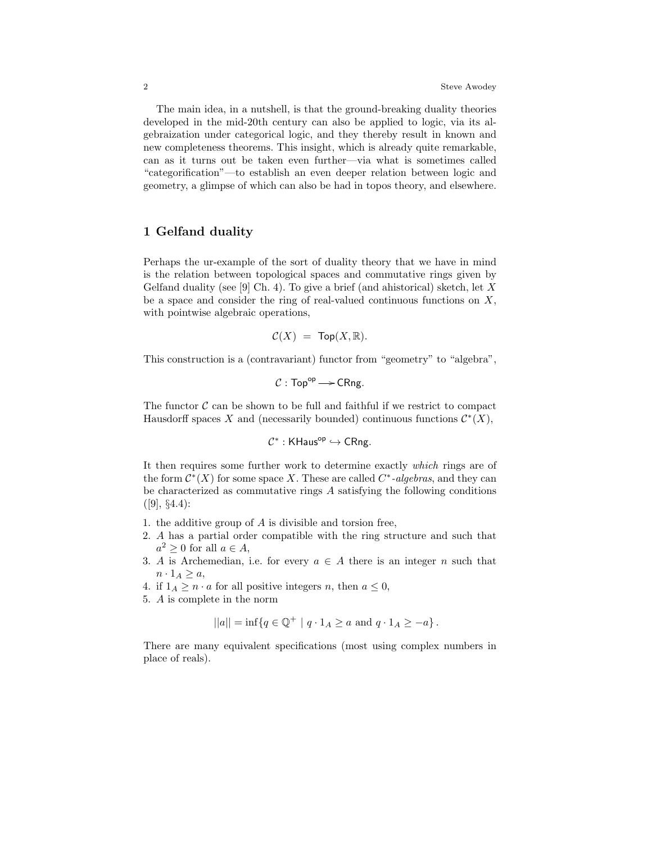The main idea, in a nutshell, is that the ground-breaking duality theories developed in the mid-20th century can also be applied to logic, via its algebraization under categorical logic, and they thereby result in known and new completeness theorems. This insight, which is already quite remarkable, can as it turns out be taken even further—via what is sometimes called "categorification"—to establish an even deeper relation between logic and geometry, a glimpse of which can also be had in topos theory, and elsewhere.

# 1 Gelfand duality

Perhaps the ur-example of the sort of duality theory that we have in mind is the relation between topological spaces and commutative rings given by Gelfand duality (see [9] Ch. 4). To give a brief (and ahistorical) sketch, let  $X$ be a space and consider the ring of real-valued continuous functions on  $X$ , with pointwise algebraic operations,

$$
\mathcal{C}(X) \ = \ \mathsf{Top}(X, \mathbb{R}).
$$

This construction is a (contravariant) functor from "geometry" to "algebra",

$$
C: \mathsf{Top}^{\mathsf{op}} \longrightarrow \mathsf{CRng}.
$$

The functor  $\mathcal C$  can be shown to be full and faithful if we restrict to compact Hausdorff spaces X and (necessarily bounded) continuous functions  $\mathcal{C}^*(X)$ ,

$$
\mathcal{C}^*: \mathsf{KHaus}^{\mathsf{op}} \hookrightarrow \mathsf{CRng}.
$$

It then requires some further work to determine exactly which rings are of the form  $\mathcal{C}^*(X)$  for some space X. These are called  $C^*$ -algebras, and they can be characterized as commutative rings A satisfying the following conditions  $([9], \S4.4):$ 

- 1. the additive group of A is divisible and torsion free,
- 2. A has a partial order compatible with the ring structure and such that  $a^2 \geq 0$  for all  $a \in A$ ,
- 3. A is Archemedian, i.e. for every  $a \in A$  there is an integer n such that  $n \cdot 1_A \geq a$ ,

4. if  $1_A \geq n \cdot a$  for all positive integers n, then  $a \leq 0$ ,

5. A is complete in the norm

$$
||a|| = \inf \{ q \in \mathbb{Q}^+ | q \cdot 1_A \ge a \text{ and } q \cdot 1_A \ge -a \}.
$$

There are many equivalent specifications (most using complex numbers in place of reals).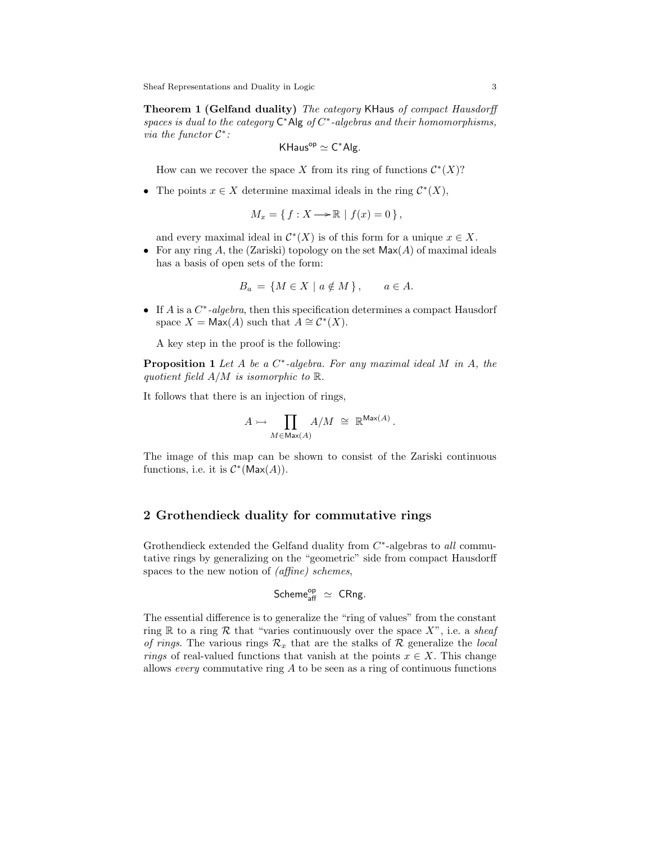Sheaf Representations and Duality in Logic 3

**Theorem 1 (Gelfand duality)** The category KHaus of compact Hausdorff spaces is dual to the category  $C^*$ Alg of  $C^*$ -algebras and their homomorphisms, via the functor  $C^*$ :

$$
\mathsf{KHaus}^{\mathsf{op}} \simeq \mathsf{C}^*\mathsf{Alg}.
$$

How can we recover the space X from its ring of functions  $\mathcal{C}^*(X)$ ?

• The points  $x \in X$  determine maximal ideals in the ring  $\mathcal{C}^*(X)$ ,

$$
M_x = \{ f : X \longrightarrow \mathbb{R} \mid f(x) = 0 \},
$$

and every maximal ideal in  $\mathcal{C}^*(X)$  is of this form for a unique  $x \in X$ .

• For any ring A, the (Zariski) topology on the set  $\mathsf{Max}(A)$  of maximal ideals has a basis of open sets of the form:

$$
B_a = \{ M \in X \mid a \notin M \}, \quad a \in A.
$$

• If  $A$  is a  $C^*$ -algebra, then this specification determines a compact Hausdorf space  $X = \text{Max}(A)$  such that  $A \cong \mathcal{C}^*(X)$ .

A key step in the proof is the following:

**Proposition 1** Let A be a  $C^*$ -algebra. For any maximal ideal M in A, the quotient field  $A/M$  is isomorphic to  $\mathbb{R}$ .

It follows that there is an injection of rings,

$$
A \rightarrowtail \prod_{M \in \text{Max}(A)} A/M \; \cong \; \mathbb{R}^{\text{Max}(A)} \, .
$$

The image of this map can be shown to consist of the Zariski continuous functions, i.e. it is  $\mathcal{C}^*(\mathsf{Max}(A)).$ 

## 2 Grothendieck duality for commutative rings

Grothendieck extended the Gelfand duality from  $C^*$ -algebras to all commutative rings by generalizing on the "geometric" side from compact Hausdorff spaces to the new notion of (affine) schemes,

$$
\text{Scheme}_{\text{aff}}^{\text{op}} \simeq \text{ CRng.}
$$

The essential difference is to generalize the "ring of values" from the constant ring R to a ring R that "varies continuously over the space  $X$ ", i.e. a sheaf of rings. The various rings  $\mathcal{R}_x$  that are the stalks of  $\mathcal R$  generalize the local rings of real-valued functions that vanish at the points  $x \in X$ . This change allows every commutative ring  $A$  to be seen as a ring of continuous functions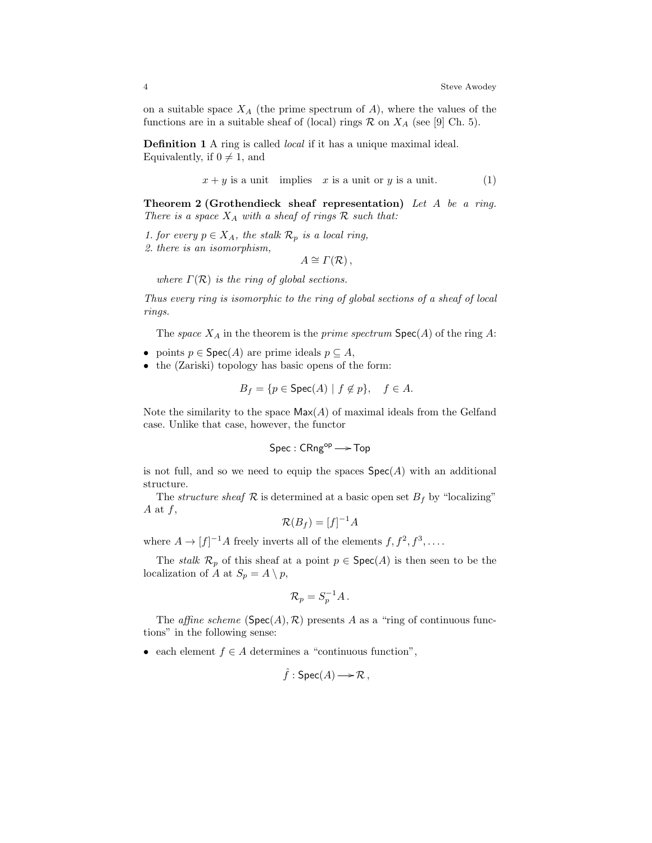on a suitable space  $X_A$  (the prime spectrum of A), where the values of the functions are in a suitable sheaf of (local) rings  $\mathcal{R}$  on  $X_A$  (see [9] Ch. 5).

Definition 1 A ring is called *local* if it has a unique maximal ideal. Equivalently, if  $0 \neq 1$ , and

$$
x + y
$$
 is a unit implies  $x$  is a unit or  $y$  is a unit. (1)

**Theorem 2 (Grothendieck sheaf representation)** Let A be a ring. There is a space  $X_A$  with a sheaf of rings  $R$  such that:

1. for every  $p \in X_A$ , the stalk  $\mathcal{R}_p$  is a local ring,

2. there is an isomorphism,

 $A \cong \Gamma(\mathcal{R}),$ 

where  $\Gamma(\mathcal{R})$  is the ring of global sections.

Thus every ring is isomorphic to the ring of global sections of a sheaf of local rings.

The space  $X_A$  in the theorem is the prime spectrum  $Spec(A)$  of the ring A:

- points  $p \in \text{Spec}(A)$  are prime ideals  $p \subseteq A$ ,
- the (Zariski) topology has basic opens of the form:

$$
B_f = \{ p \in \text{Spec}(A) \mid f \notin p \}, \quad f \in A.
$$

Note the similarity to the space  $\mathsf{Max}(A)$  of maximal ideals from the Gelfand case. Unlike that case, however, the functor

 $Spec:CRng^{op} \longrightarrow Top$ 

is not full, and so we need to equip the spaces  $\textsf{Spec}(A)$  with an additional structure.

The *structure sheaf*  $\mathcal R$  is determined at a basic open set  $B_f$  by "localizing" A at  $f$ ,

$$
\mathcal{R}(B_f) = [f]^{-1}A
$$

where  $A \to [f]^{-1}A$  freely inverts all of the elements  $f, f^2, f^3, \ldots$ 

The *stalk*  $\mathcal{R}_p$  of this sheaf at a point  $p \in \text{Spec}(A)$  is then seen to be the localization of A at  $S_p = A \setminus p$ ,

$$
\mathcal{R}_p = S_p^{-1}A \,.
$$

The *affine scheme* ( $Spec(A), \mathcal{R}$ ) presents A as a "ring of continuous functions" in the following sense:

• each element  $f \in A$  determines a "continuous function",

$$
\hat{f}: \operatorname{Spec}(A) \longrightarrow \mathcal{R},
$$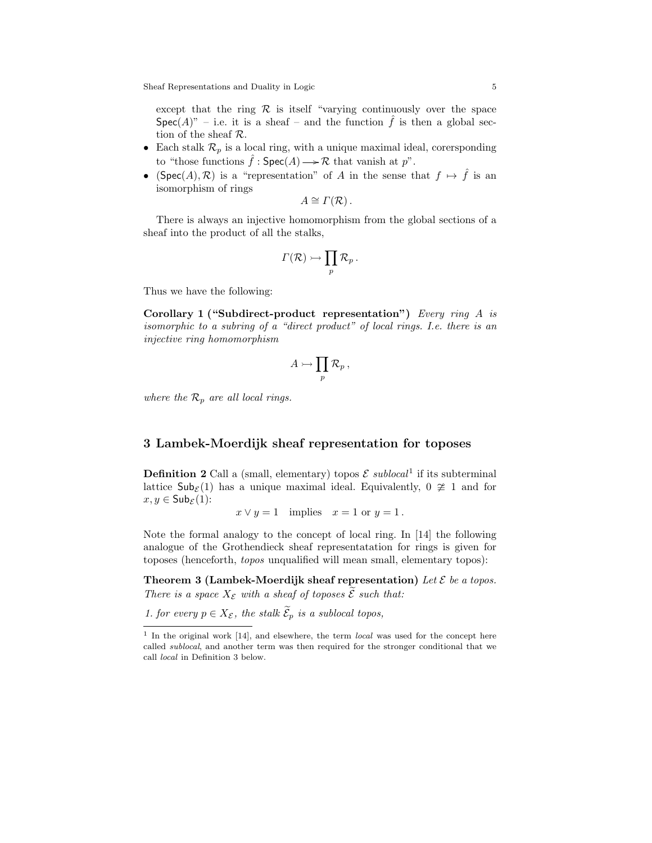Sheaf Representations and Duality in Logic 5 5

except that the ring  $\mathcal R$  is itself "varying continuously over the space  $Spec(A)$ " – i.e. it is a sheaf – and the function  $\hat{f}$  is then a global section of the sheaf R.

- Each stalk  $\mathcal{R}_p$  is a local ring, with a unique maximal ideal, corersponding to "those functions  $\hat{f}$ :  $Spec(A) \longrightarrow \mathcal{R}$  that vanish at  $p$ ".
- (Spec(A),  $\mathcal{R}$ ) is a "representation" of A in the sense that  $f \mapsto \hat{f}$  is an isomorphism of rings

 $A \cong \Gamma(\mathcal{R})$ .

There is always an injective homomorphism from the global sections of a sheaf into the product of all the stalks,

$$
\varGamma(\mathcal{R})\rightarrowtail \prod_p\mathcal{R}_p\,.
$$

Thus we have the following:

Corollary 1 ("Subdirect-product representation") Every ring A is isomorphic to a subring of a "direct product" of local rings. I.e. there is an injective ring homomorphism

$$
A \rightarrowtail \prod_p {\cal R}_p \,,
$$

where the  $\mathcal{R}_p$  are all local rings.

## 3 Lambek-Moerdijk sheaf representation for toposes

**Definition 2** Call a (small, elementary) topos  $\mathcal{E}$  sublocal<sup>1</sup> if its subterminal lattice  $\mathsf{Sub}_{\mathcal{E}}(1)$  has a unique maximal ideal. Equivalently,  $0 \ncong 1$  and for  $x, y \in \mathsf{Sub}_{\mathcal{E}}(1)$ :

$$
x \vee y = 1
$$
 implies  $x = 1$  or  $y = 1$ .

Note the formal analogy to the concept of local ring. In [14] the following analogue of the Grothendieck sheaf representatation for rings is given for toposes (henceforth, topos unqualified will mean small, elementary topos):

Theorem 3 (Lambek-Moerdijk sheaf representation) Let  $\mathcal E$  be a topos. There is a space  $X_{\mathcal{E}}$  with a sheaf of toposes  $\widetilde{\mathcal{E}}$  such that:

1. for every  $p \in X_{\mathcal{E}}$ , the stalk  $\widetilde{\mathcal{E}}_p$  is a sublocal topos,

<sup>&</sup>lt;sup>1</sup> In the original work [14], and elsewhere, the term *local* was used for the concept here called sublocal, and another term was then required for the stronger conditional that we call local in Definition 3 below.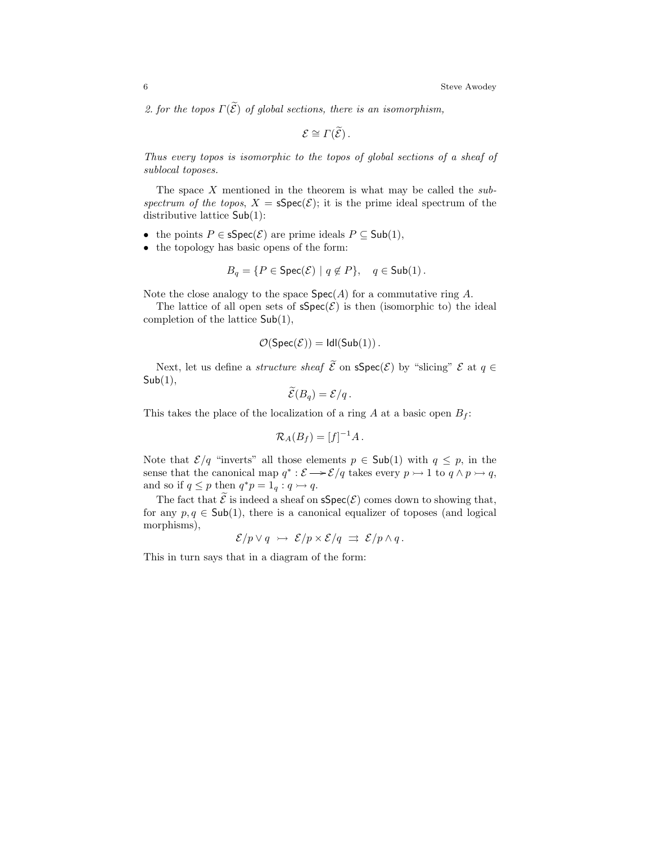2. for the topos  $\Gamma(\widetilde{\mathcal{E}})$  of global sections, there is an isomorphism,

$$
\mathcal{E} \cong \Gamma(\widetilde{\mathcal{E}}).
$$

Thus every topos is isomorphic to the topos of global sections of a sheaf of sublocal toposes.

The space  $X$  mentioned in the theorem is what may be called the subspectrum of the topos,  $X = \text{Spec}(\mathcal{E})$ ; it is the prime ideal spectrum of the distributive lattice Sub(1):

- the points  $P \in \text{Spec}(\mathcal{E})$  are prime ideals  $P \subseteq \text{Sub}(1)$ ,
- the topology has basic opens of the form:

$$
B_q = \{ P \in \text{Spec}(\mathcal{E}) \mid q \notin P \}, \quad q \in \text{Sub}(1) \,.
$$

Note the close analogy to the space  $Spec(A)$  for a commutative ring A.

The lattice of all open sets of  $\text{spec}(\mathcal{E})$  is then (isomorphic to) the ideal completion of the lattice Sub(1),

$$
\mathcal{O}(\mathsf{Spec}(\mathcal{E})) = \mathsf{Idl}(\mathsf{Sub}(1)) .
$$

Next, let us define a *structure sheaf*  $\widetilde{\mathcal{E}}$  on  $\text{Spec}(\mathcal{E})$  by "slicing"  $\mathcal{E}$  at  $q \in$  $Sub(1),$ 

$$
\mathcal{E}(B_q) = \mathcal{E}/q \,.
$$

This takes the place of the localization of a ring A at a basic open  $B_f$ :

$$
\mathcal{R}_A(B_f) = [f]^{-1}A.
$$

Note that  $\mathcal{E}/q$  "inverts" all those elements  $p \in Sub(1)$  with  $q \leq p$ , in the sense that the canonical map  $q^* : \mathcal{E} \longrightarrow \mathcal{E}/q$  takes every  $p \rightarrow 1$  to  $q \wedge p \rightarrow q$ , and so if  $q \leq p$  then  $q^*p = 1_q : q \rightarrow q$ .

The fact that  $\tilde{\mathcal{E}}$  is indeed a sheaf on  $\mathsf{sSpec}(\mathcal{E})$  comes down to showing that, for any  $p, q \in Sub(1)$ , there is a canonical equalizer of toposes (and logical morphisms),

$$
\mathcal{E}/p \vee q \rightarrow \mathcal{E}/p \times \mathcal{E}/q \Rightarrow \mathcal{E}/p \wedge q.
$$

This in turn says that in a diagram of the form: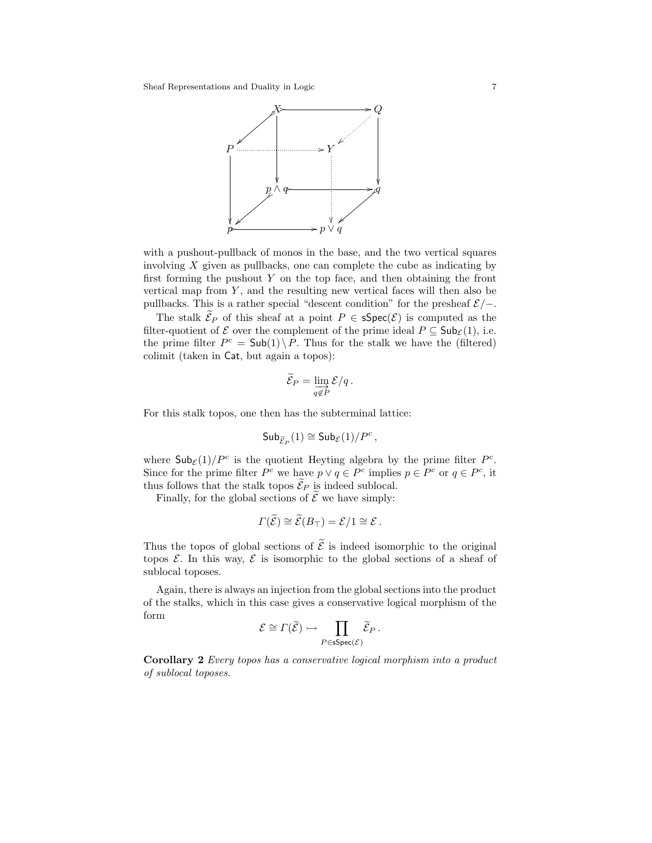

with a pushout-pullback of monos in the base, and the two vertical squares involving  $X$  given as pullbacks, one can complete the cube as indicating by first forming the pushout  $Y$  on the top face, and then obtaining the front vertical map from  $Y$ , and the resulting new vertical faces will then also be pullbacks. This is a rather special "descent condition" for the presheaf  $\mathcal{E}/-$ .

The stalk  $\widetilde{\mathcal{E}}_P$  of this sheaf at a point  $P \in \text{Spec}(\mathcal{E})$  is computed as the filter-quotient of  $\mathcal E$  over the complement of the prime ideal  $P \subseteq \mathsf{Sub}_{\mathcal E}(1)$ , i.e. the prime filter  $P^c = Sub(1) \backslash P$ . Thus for the stalk we have the (filtered) colimit (taken in Cat, but again a topos):

$$
\widetilde{\mathcal{E}}_P = \varinjlim_{q \notin P} \mathcal{E}/q \, .
$$

For this stalk topos, one then has the subterminal lattice:

$$
\mathsf{Sub}_{\widetilde{\mathcal{E}}_P}(1) \cong \mathsf{Sub}_{\mathcal{E}}(1)/P^c\,,
$$

where  $\mathsf{Sub}_{\mathcal{E}}(1)/P^c$  is the quotient Heyting algebra by the prime filter  $P^c$ . Since for the prime filter  $P^c$  we have  $p \vee q \in P^c$  implies  $p \in P^c$  or  $q \in P^c$ , it thus follows that the stalk topos  $\widetilde{\mathcal{E}}_P$  is indeed sublocal.

Finally, for the global sections of  $\tilde{\mathcal{E}}$  we have simply:

$$
\Gamma(\widetilde{\mathcal{E}}) \cong \widetilde{\mathcal{E}}(B_{\top}) = \mathcal{E}/1 \cong \mathcal{E}.
$$

Thus the topos of global sections of  $\widetilde{\mathcal{E}}$  is indeed isomorphic to the original topos  $\mathcal E$ . In this way,  $\mathcal E$  is isomorphic to the global sections of a sheaf of sublocal toposes.

Again, there is always an injection from the global sections into the product of the stalks, which in this case gives a conservative logical morphism of the form

$$
\mathcal{E} \cong \Gamma(\widetilde{\mathcal{E}}) \rightarrowtail \prod_{P \in \mathsf{sSpec}(\mathcal{E})} \widetilde{\mathcal{E}}_P \,.
$$

Corollary 2 Every topos has a conservative logical morphism into a product of sublocal toposes.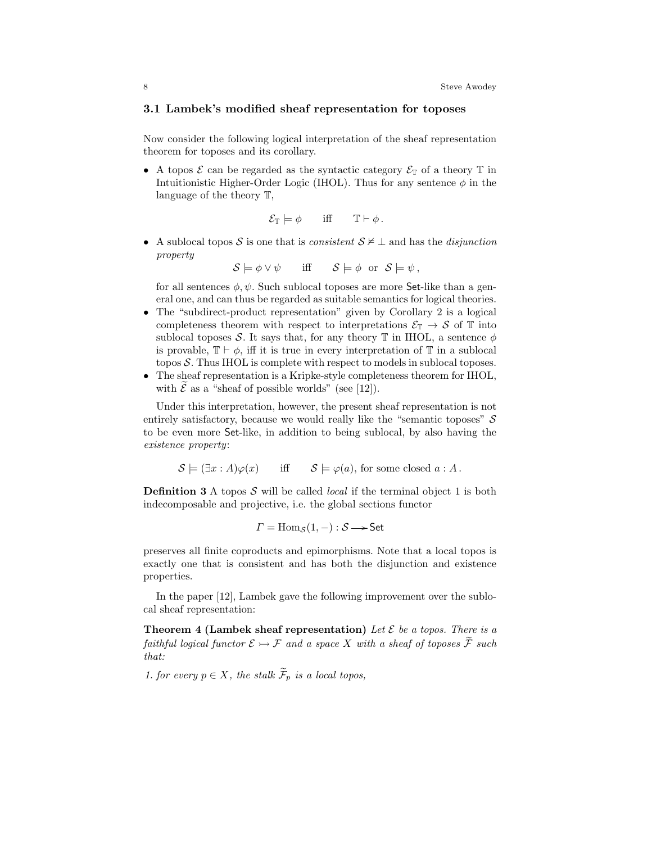## 3.1 Lambek's modified sheaf representation for toposes

Now consider the following logical interpretation of the sheaf representation theorem for toposes and its corollary.

• A topos  $\mathcal E$  can be regarded as the syntactic category  $\mathcal E_{\mathbb T}$  of a theory  $\mathbb T$  in Intuitionistic Higher-Order Logic (IHOL). Thus for any sentence  $\phi$  in the language of the theory T,

$$
\mathcal{E}_{\mathbb{T}} \models \phi \quad \text{iff} \quad \mathbb{T} \vdash \phi \, .
$$

• A sublocal topos S is one that is consistent  $S \not\vdash \bot$  and has the disjunction property

 $\mathcal{S} \models \phi \vee \psi$  iff  $\mathcal{S} \models \phi$  or  $\mathcal{S} \models \psi$ ,

for all sentences  $\phi, \psi$ . Such sublocal toposes are more Set-like than a general one, and can thus be regarded as suitable semantics for logical theories.

- The "subdirect-product representation" given by Corollary 2 is a logical completeness theorem with respect to interpretations  $\mathcal{E}_{\mathbb{T}} \to \mathcal{S}$  of  $\mathbb{T}$  into sublocal toposes S. It says that, for any theory  $\mathbb T$  in IHOL, a sentence  $\phi$ is provable,  $\mathbb{T} \vdash \phi$ , iff it is true in every interpretation of  $\mathbb{T}$  in a sublocal topos  $S$ . Thus IHOL is complete with respect to models in sublocal toposes.
- The sheaf representation is a Kripke-style completeness theorem for IHOL, with  $\mathcal{E}$  as a "sheaf of possible worlds" (see [12]).

Under this interpretation, however, the present sheaf representation is not entirely satisfactory, because we would really like the "semantic toposes"  $S$ to be even more Set-like, in addition to being sublocal, by also having the existence property:

$$
\mathcal{S} \models (\exists x : A)\varphi(x) \quad \text{iff} \quad \mathcal{S} \models \varphi(a), \text{ for some closed } a : A.
$$

**Definition 3** A topos S will be called *local* if the terminal object 1 is both indecomposable and projective, i.e. the global sections functor

$$
\Gamma = \text{Hom}_{\mathcal{S}}(1,-): \mathcal{S} \longrightarrow \text{Set}
$$

preserves all finite coproducts and epimorphisms. Note that a local topos is exactly one that is consistent and has both the disjunction and existence properties.

In the paper [12], Lambek gave the following improvement over the sublocal sheaf representation:

**Theorem 4 (Lambek sheaf representation)** Let  $\mathcal{E}$  be a topos. There is a faithful logical functor  $\mathcal{E} \rightarrow \mathcal{F}$  and a space X with a sheaf of toposes  $\widetilde{\mathcal{F}}$  such that:

1. for every  $p \in X$ , the stalk  $\widetilde{\mathcal{F}}_p$  is a local topos,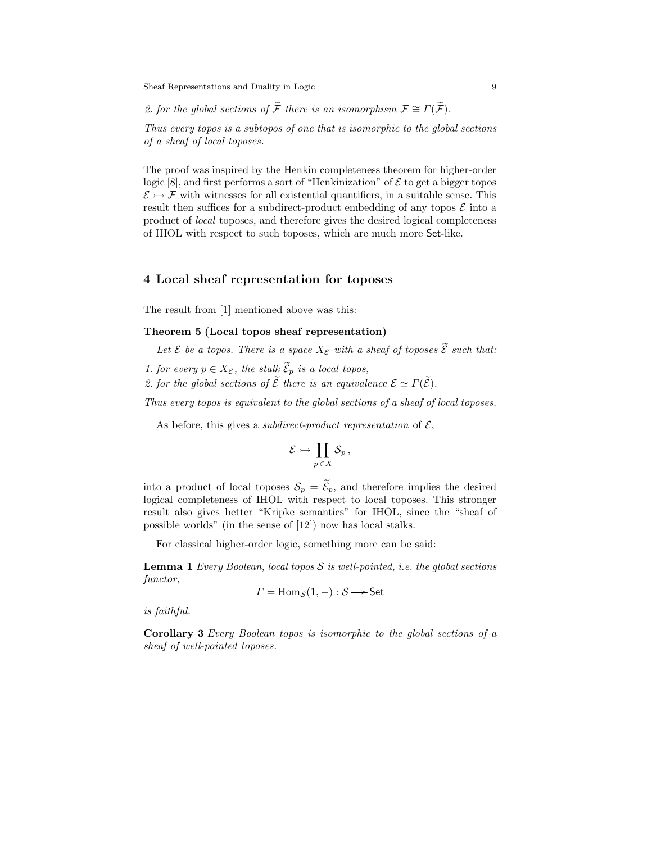Sheaf Representations and Duality in Logic 9

2. for the global sections of  $\widetilde{\mathcal{F}}$  there is an isomorphism  $\mathcal{F} \cong \Gamma(\widetilde{\mathcal{F}})$ .

Thus every topos is a subtopos of one that is isomorphic to the global sections of a sheaf of local toposes.

The proof was inspired by the Henkin completeness theorem for higher-order logic [8], and first performs a sort of "Henkinization" of  $\mathcal E$  to get a bigger topos  $\mathcal{E} \rightarrowtail \mathcal{F}$  with witnesses for all existential quantifiers, in a suitable sense. This result then suffices for a subdirect-product embedding of any topos  $\mathcal E$  into a product of local toposes, and therefore gives the desired logical completeness of IHOL with respect to such toposes, which are much more Set-like.

## 4 Local sheaf representation for toposes

The result from [1] mentioned above was this:

### Theorem 5 (Local topos sheaf representation)

Let  $\mathcal E$  be a topos. There is a space  $X_{\mathcal E}$  with a sheaf of toposes  $\widetilde{\mathcal E}$  such that:

- 1. for every  $p \in X_{\mathcal{E}}$ , the stalk  $\widetilde{\mathcal{E}}_p$  is a local topos,
- 2. for the global sections of  $\widetilde{\mathcal{E}}$  there is an equivalence  $\mathcal{E} \simeq \Gamma(\widetilde{\mathcal{E}})$ .

Thus every topos is equivalent to the global sections of a sheaf of local toposes.

As before, this gives a *subdirect-product representation* of  $\mathcal{E}$ ,

$$
\mathcal{E} \rightarrowtail \prod_{p \in X} \mathcal{S}_p\,,
$$

into a product of local toposes  $S_p = \widetilde{\mathcal{E}}_p$ , and therefore implies the desired logical completeness of IHOL with respect to local toposes. This stronger result also gives better "Kripke semantics" for IHOL, since the "sheaf of possible worlds" (in the sense of [12]) now has local stalks.

For classical higher-order logic, something more can be said:

**Lemma 1** Every Boolean, local topos  $S$  is well-pointed, i.e. the global sections functor,

$$
\Gamma = \text{Hom}_{\mathcal{S}}(1,-): \mathcal{S} \longrightarrow \text{Set}
$$

is faithful.

Corollary 3 Every Boolean topos is isomorphic to the global sections of a sheaf of well-pointed toposes.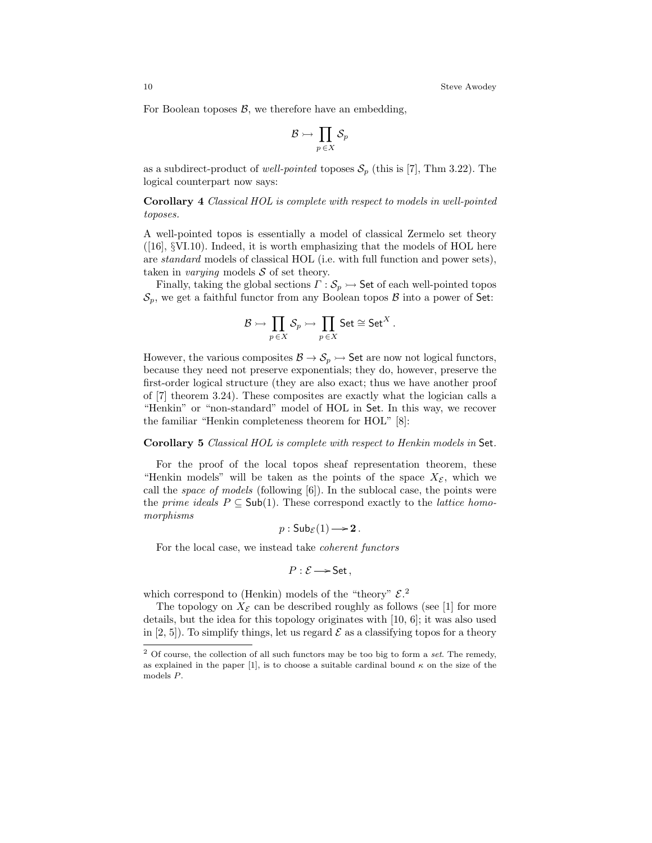For Boolean toposes  $\beta$ , we therefore have an embedding,

$$
\mathcal{B} \rightarrowtail \prod_{p \,\in X} \mathcal{S}_p
$$

as a subdirect-product of well-pointed toposes  $S_p$  (this is [7], Thm 3.22). The logical counterpart now says:

Corollary 4 Classical HOL is complete with respect to models in well-pointed toposes.

A well-pointed topos is essentially a model of classical Zermelo set theory  $([16], \S$ VI.10). Indeed, it is worth emphasizing that the models of HOL here are standard models of classical HOL (i.e. with full function and power sets), taken in *varying* models  $S$  of set theory.

Finally, taking the global sections  $\Gamma : \mathcal{S}_p \rightarrow \mathsf{Set}$  of each well-pointed topos  $\mathcal{S}_p$ , we get a faithful functor from any Boolean topos  $\beta$  into a power of Set:

$$
\mathcal{B} \rightarrowtail \prod_{p \,\in X} \mathcal{S}_p \rightarrowtail \prod_{p \,\in X} \mathsf{Set} \cong \mathsf{Set}^X\,.
$$

However, the various composites  $\mathcal{B} \to \mathcal{S}_p \to$  Set are now not logical functors, because they need not preserve exponentials; they do, however, preserve the first-order logical structure (they are also exact; thus we have another proof of [7] theorem 3.24). These composites are exactly what the logician calls a "Henkin" or "non-standard" model of HOL in Set. In this way, we recover the familiar "Henkin completeness theorem for HOL" [8]:

#### Corollary 5 Classical HOL is complete with respect to Henkin models in Set.

For the proof of the local topos sheaf representation theorem, these "Henkin models" will be taken as the points of the space  $X_{\mathcal{E}}$ , which we call the space of models (following [6]). In the sublocal case, the points were the *prime ideals*  $P \subseteq Sub(1)$ . These correspond exactly to the *lattice homo*morphisms

$$
p: \mathsf{Sub}_{\mathcal{E}}(1) \longrightarrow 2.
$$

For the local case, we instead take coherent functors

$$
P:\mathcal{E}\longrightarrow\mathsf{Set}\,,
$$

which correspond to (Henkin) models of the "theory"  $\mathcal{E}$ <sup>2</sup>

The topology on  $X_{\mathcal{E}}$  can be described roughly as follows (see [1] for more details, but the idea for this topology originates with [10, 6]; it was also used in [2, 5]). To simplify things, let us regard  $\mathcal E$  as a classifying topos for a theory

 $2$  Of course, the collection of all such functors may be too big to form a set. The remedy, as explained in the paper [1], is to choose a suitable cardinal bound  $\kappa$  on the size of the models P.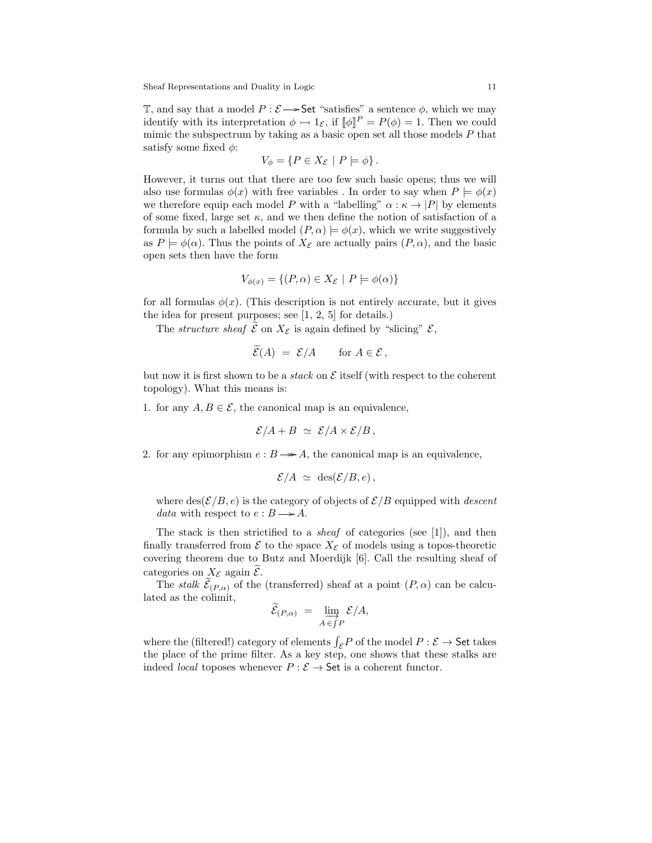T, and say that a model  $P : \mathcal{E} \longrightarrow$  Set "satisfies" a sentence  $\phi$ , which we may identify with its interpretation  $\phi \rightarrow 1_{\mathcal{E}}$ , if  $[\![\phi]\!]^P = P(\phi) = 1$ . Then we could mimic the subspectrum by taking as a basic open set all those models  $P$  that satisfy some fixed  $\phi$ :

$$
V_{\phi} = \{ P \in X_{\mathcal{E}} \mid P \models \phi \}.
$$

However, it turns out that there are too few such basic opens; thus we will also use formulas  $\phi(x)$  with free variables. In order to say when  $P \models \phi(x)$ we therefore equip each model P with a "labelling"  $\alpha : \kappa \to |P|$  by elements of some fixed, large set  $\kappa$ , and we then define the notion of satisfaction of a formula by such a labelled model  $(P, \alpha) \models \phi(x)$ , which we write suggestively as  $P \models \phi(\alpha)$ . Thus the points of  $X_{\mathcal{E}}$  are actually pairs  $(P, \alpha)$ , and the basic open sets then have the form

$$
V_{\phi(x)} = \{(P, \alpha) \in X_{\mathcal{E}} \mid P \models \phi(\alpha)\}\
$$

for all formulas  $\phi(x)$ . (This description is not entirely accurate, but it gives the idea for present purposes; see [1, 2, 5] for details.)

The *structure sheaf*  $\mathcal{E}$  on  $X_{\mathcal{E}}$  is again defined by "slicing"  $\mathcal{E}$ ,

$$
\widetilde{\mathcal{E}}(A) = \mathcal{E}/A \quad \text{for } A \in \mathcal{E},
$$

but now it is first shown to be a *stack* on  $\mathcal E$  itself (with respect to the coherent topology). What this means is:

1. for any  $A, B \in \mathcal{E}$ , the canonical map is an equivalence,

$$
\mathcal{E}/A + B \simeq \mathcal{E}/A \times \mathcal{E}/B,
$$

2. for any epimorphism  $e : B \rightarrow A$ , the canonical map is an equivalence,

$$
\mathcal{E}/A \simeq \text{des}(\mathcal{E}/B, e),
$$

where  $\text{des}(\mathcal{E}/B, e)$  is the category of objects of  $\mathcal{E}/B$  equipped with *descent* data with respect to  $e : B \longrightarrow A$ .

The stack is then strictified to a *sheaf* of categories (see  $[1]$ ), and then finally transferred from  $\mathcal E$  to the space  $X_{\mathcal E}$  of models using a topos-theoretic covering theorem due to Butz and Moerdijk [6]. Call the resulting sheaf of categories on  $X_{\mathcal{E}}$  again  $\mathcal{E}$ .

The *stalk*  $\mathcal{E}_{(P,\alpha)}$  of the (transferred) sheaf at a point  $(P,\alpha)$  can be calculated as the colimit,

$$
\widetilde{\mathcal{E}}_{(P,\alpha)} = \varinjlim_{A \in \int P} \mathcal{E}/A,
$$

where the (filtered!) category of elements  $\int_{\mathcal{E}} P$  of the model  $P : \mathcal{E} \to \mathsf{Set}$  takes the place of the prime filter. As a key step, one shows that these stalks are indeed *local* toposes whenever  $P : \mathcal{E} \to \mathsf{Set}$  is a coherent functor.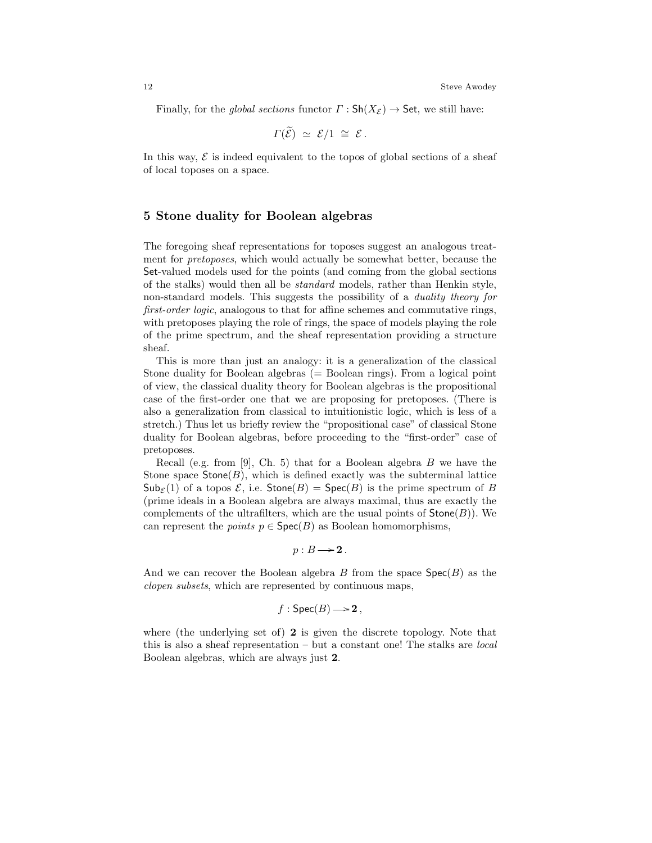Finally, for the global sections functor  $\Gamma : \mathsf{Sh}(X_\mathcal{E}) \to \mathsf{Set}$ , we still have:

$$
\Gamma(\widetilde{\mathcal{E}}) \simeq \mathcal{E}/1 \cong \mathcal{E}.
$$

In this way,  $\mathcal E$  is indeed equivalent to the topos of global sections of a sheaf of local toposes on a space.

# 5 Stone duality for Boolean algebras

The foregoing sheaf representations for toposes suggest an analogous treatment for pretoposes, which would actually be somewhat better, because the Set-valued models used for the points (and coming from the global sections of the stalks) would then all be standard models, rather than Henkin style, non-standard models. This suggests the possibility of a *duality theory for* first-order logic, analogous to that for affine schemes and commutative rings, with pretoposes playing the role of rings, the space of models playing the role of the prime spectrum, and the sheaf representation providing a structure sheaf.

This is more than just an analogy: it is a generalization of the classical Stone duality for Boolean algebras (= Boolean rings). From a logical point of view, the classical duality theory for Boolean algebras is the propositional case of the first-order one that we are proposing for pretoposes. (There is also a generalization from classical to intuitionistic logic, which is less of a stretch.) Thus let us briefly review the "propositional case" of classical Stone duality for Boolean algebras, before proceeding to the "first-order" case of pretoposes.

Recall (e.g. from [9], Ch. 5) that for a Boolean algebra  $B$  we have the Stone space  $\text{Stone}(B)$ , which is defined exactly was the subterminal lattice  $\mathsf{Sub}_{\mathcal{E}}(1)$  of a topos  $\mathcal{E}$ , i.e.  $\mathsf{Stone}(B) = \mathsf{Spec}(B)$  is the prime spectrum of B (prime ideals in a Boolean algebra are always maximal, thus are exactly the complements of the ultrafilters, which are the usual points of  $\mathsf{Stone}(B)$ ). We can represent the *points*  $p \in \text{Spec}(B)$  as Boolean homomorphisms,

$$
p:B\longrightarrow \mathbf{2}.
$$

And we can recover the Boolean algebra B from the space  $Spec(B)$  as the clopen subsets, which are represented by continuous maps,

$$
f: \text{Spec}(B) \longrightarrow 2,
$$

where (the underlying set of) 2 is given the discrete topology. Note that this is also a sheaf representation – but a constant one! The stalks are local Boolean algebras, which are always just 2.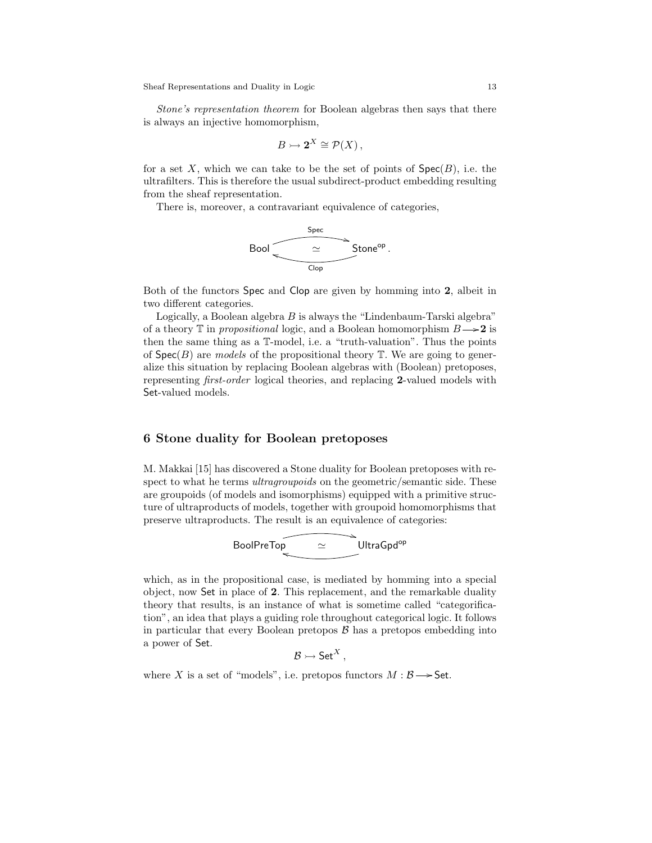Sheaf Representations and Duality in Logic 13

Stone's representation theorem for Boolean algebras then says that there is always an injective homomorphism,

$$
B \rightarrowtail \mathbf{2}^X \cong \mathcal{P}(X) \,,
$$

for a set  $X$ , which we can take to be the set of points of  $Spec(B)$ , i.e. the ultrafilters. This is therefore the usual subdirect-product embedding resulting from the sheaf representation.

There is, moreover, a contravariant equivalence of categories,

Bool Spec + ' Stoneop . Clop j

Both of the functors Spec and Clop are given by homming into 2, albeit in two different categories.

Logically, a Boolean algebra  $B$  is always the "Lindenbaum-Tarski algebra" of a theory  $\mathbb T$  in propositional logic, and a Boolean homomorphism  $B \rightarrow 2$  is then the same thing as a T-model, i.e. a "truth-valuation". Thus the points of  $Spec(B)$  are models of the propositional theory  $T$ . We are going to generalize this situation by replacing Boolean algebras with (Boolean) pretoposes, representing first-order logical theories, and replacing 2-valued models with Set-valued models.

## 6 Stone duality for Boolean pretoposes

M. Makkai [15] has discovered a Stone duality for Boolean pretoposes with respect to what he terms *ultragroupoids* on the geometric/semantic side. These are groupoids (of models and isomorphisms) equipped with a primitive structure of ultraproducts of models, together with groupoid homomorphisms that preserve ultraproducts. The result is an equivalence of categories:

$$
\text{BoolPreTop} \qquad \simeq \qquad \text{UltraGpd}^{op}
$$

which, as in the propositional case, is mediated by homming into a special object, now Set in place of 2. This replacement, and the remarkable duality theory that results, is an instance of what is sometime called "categorification", an idea that plays a guiding role throughout categorical logic. It follows in particular that every Boolean pretopos  $\beta$  has a pretopos embedding into a power of Set.

$$
\mathcal{B} \rightarrowtail \mathsf{Set}^X\,,
$$

where X is a set of "models", i.e. pretopos functors  $M : \mathcal{B} \longrightarrow$  Set.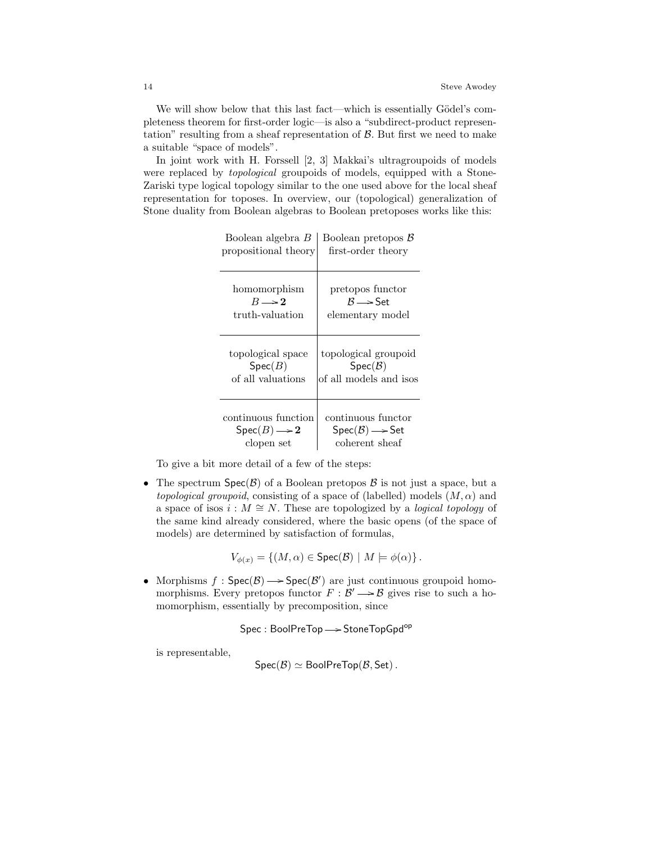We will show below that this last fact—which is essentially Gödel's completeness theorem for first-order logic—is also a "subdirect-product representation" resulting from a sheaf representation of  $\beta$ . But first we need to make a suitable "space of models".

In joint work with H. Forssell [2, 3] Makkai's ultragroupoids of models were replaced by topological groupoids of models, equipped with a Stone-Zariski type logical topology similar to the one used above for the local sheaf representation for toposes. In overview, our (topological) generalization of Stone duality from Boolean algebras to Boolean pretoposes works like this:

| Boolean algebra B                          | Boolean pretopos $B$                    |
|--------------------------------------------|-----------------------------------------|
| propositional theory                       | first-order theory                      |
| homomorphism                               | pretopos functor                        |
| $R \rightarrow 2$                          | $\mathcal{B} \longrightarrow$ Set       |
| truth-valuation                            | elementary model                        |
| topological space                          | topological groupoid                    |
| Spec(B)                                    | $Spec(\mathcal{B})$                     |
| of all valuations                          | of all models and isos                  |
| continuous function                        | continuous functor                      |
| $\operatorname{Spec}(B) \longrightarrow 2$ | $Spec(\mathcal{B}) \longrightarrow Set$ |
| clopen set                                 | coherent sheaf                          |

 $B = B - B$ 

To give a bit more detail of a few of the steps:

• The spectrum  $Spec(\mathcal{B})$  of a Boolean pretopos  $\mathcal B$  is not just a space, but a topological groupoid, consisting of a space of (labelled) models  $(M, \alpha)$  and a space of isos  $i : M \cong N$ . These are topologized by a *logical topology* of the same kind already considered, where the basic opens (of the space of models) are determined by satisfaction of formulas,

$$
V_{\phi(x)} = \{(M, \alpha) \in \text{Spec}(\mathcal{B}) \mid M \models \phi(\alpha)\}.
$$

• Morphisms  $f : \text{Spec}(\mathcal{B}) \longrightarrow \text{Spec}(\mathcal{B}')$  are just continuous groupoid homomorphisms. Every pretopos functor  $F : \mathcal{B}' \longrightarrow \mathcal{B}$  gives rise to such a homomorphism, essentially by precomposition, since

Spec : BoolPreTop -> StoneTopGpd<sup>op</sup>

is representable,

$$
Spec(\mathcal{B}) \simeq BooleanPreTop(\mathcal{B}, Set).
$$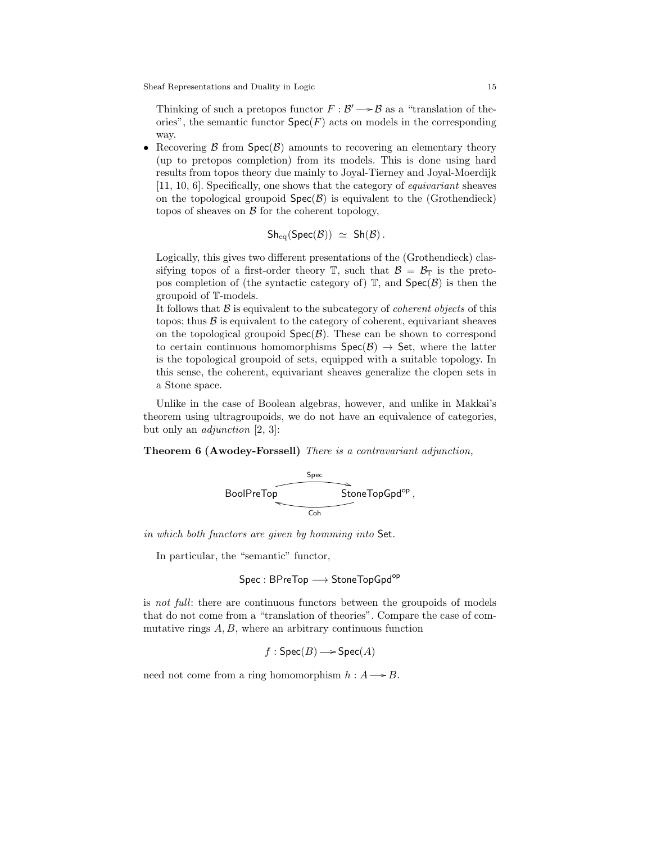Thinking of such a pretopos functor  $F : \mathcal{B}' \longrightarrow \mathcal{B}$  as a "translation of theories", the semantic functor  $\textsf{Spec}(F)$  acts on models in the corresponding way.

• Recovering  $\beta$  from  $Spec(\beta)$  amounts to recovering an elementary theory (up to pretopos completion) from its models. This is done using hard results from topos theory due mainly to Joyal-Tierney and Joyal-Moerdijk [11, 10, 6]. Specifically, one shows that the category of equivariant sheaves on the topological groupoid  $Spec(\mathcal{B})$  is equivalent to the (Grothendieck) topos of sheaves on  $\beta$  for the coherent topology,

$$
Sh_{\text{eq}}(\text{Spec}(\mathcal{B})) \ \simeq \ Sh(\mathcal{B}) \ .
$$

Logically, this gives two different presentations of the (Grothendieck) classifying topos of a first-order theory  $\mathbb{T}$ , such that  $\mathcal{B} = \mathcal{B}_{\mathbb{T}}$  is the pretopos completion of (the syntactic category of)  $\mathbb{T}$ , and  $\text{Spec}(\mathcal{B})$  is then the groupoid of T-models.

It follows that  $\beta$  is equivalent to the subcategory of *coherent objects* of this topos; thus  $\beta$  is equivalent to the category of coherent, equivariant sheaves on the topological groupoid  $Spec(\mathcal{B})$ . These can be shown to correspond to certain continuous homomorphisms  $Spec(\mathcal{B}) \rightarrow Set$ , where the latter is the topological groupoid of sets, equipped with a suitable topology. In this sense, the coherent, equivariant sheaves generalize the clopen sets in a Stone space.

Unlike in the case of Boolean algebras, however, and unlike in Makkai's theorem using ultragroupoids, we do not have an equivalence of categories, but only an adjunction [2, 3]:

Theorem 6 (Awodey-Forssell) There is a contravariant adjunction,

$$
\overbrace{\text{BoolPreTop}}^{\text{Spec}} \overbrace{\text{StoneTopGpd}^{\text{op}}},
$$

in which both functors are given by homming into Set.

In particular, the "semantic" functor,

$$
\mathsf{Spec} : \mathsf{BPreTop} \longrightarrow \mathsf{StoneTopGpd}^\mathsf{op}
$$

is not full: there are continuous functors between the groupoids of models that do not come from a "translation of theories". Compare the case of commutative rings  $A, B$ , where an arbitrary continuous function

$$
f : \text{Spec}(B) \longrightarrow \text{Spec}(A)
$$

need not come from a ring homomorphism  $h : A \rightarrow B$ .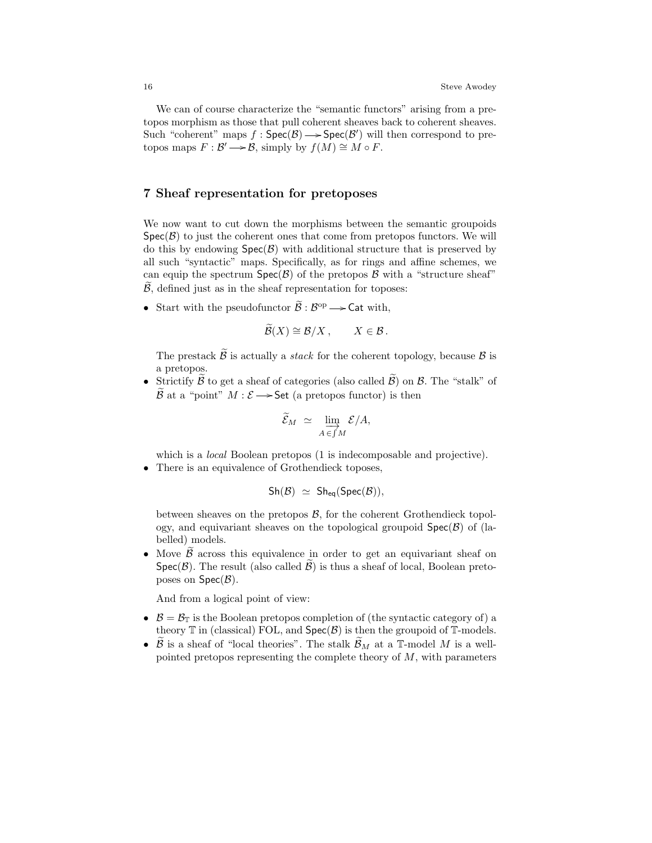We can of course characterize the "semantic functors" arising from a pretopos morphism as those that pull coherent sheaves back to coherent sheaves. Such "coherent" maps  $f : \mathsf{Spec}(\mathcal{B}) \longrightarrow \mathsf{Spec}(\mathcal{B}')$  will then correspond to pretopos maps  $F : \mathcal{B}' \longrightarrow \mathcal{B}$ , simply by  $f(M) \cong M \circ F$ .

## 7 Sheaf representation for pretoposes

We now want to cut down the morphisms between the semantic groupoids  $Spec(\mathcal{B})$  to just the coherent ones that come from pretopos functors. We will do this by endowing  $Spec(\mathcal{B})$  with additional structure that is preserved by all such "syntactic" maps. Specifically, as for rings and affine schemes, we can equip the spectrum  $Spec(\mathcal{B})$  of the pretopos  $\mathcal B$  with a "structure sheaf"  $\beta$ , defined just as in the sheaf representation for toposes:

• Start with the pseudofunctor  $\widetilde{\mathcal{B}} : \mathcal{B}^{\mathrm{op}} \longrightarrow \mathsf{Cat}$  with,

$$
\widetilde{\mathcal{B}}(X) \cong \mathcal{B}/X, \qquad X \in \mathcal{B}.
$$

The prestack  $\widetilde{\mathcal{B}}$  is actually a *stack* for the coherent topology, because  $\mathcal{B}$  is a pretopos.

• Strictify  $\widetilde{\beta}$  to get a sheaf of categories (also called  $\widetilde{\beta}$ ) on  $\beta$ . The "stalk" of  $\widetilde{\mathcal{B}}$  at a "point"  $M : \mathcal{E} \longrightarrow$  Set (a pretopos functor) is then

$$
\widetilde{\mathcal{E}}_M \simeq \varinjlim_{A \in \int M} \mathcal{E}/A,
$$

which is a *local* Boolean pretopos (1 is indecomposable and projective).

• There is an equivalence of Grothendieck toposes,

$$
\mathsf{Sh}(\mathcal{B}) \ \simeq \ \mathsf{Sh}_{\text{\rm eq}}(\mathsf{Spec}(\mathcal{B})),
$$

between sheaves on the pretopos  $B$ , for the coherent Grothendieck topology, and equivariant sheaves on the topological groupoid  $Spec(\mathcal{B})$  of (labelled) models.

• Move  $\beta$  across this equivalence in order to get an equivariant sheaf on  $Spec(\mathcal{B})$ . The result (also called  $\widetilde{\mathcal{B}}$ ) is thus a sheaf of local, Boolean pretoposes on  $Spec(\mathcal{B})$ .

And from a logical point of view:

- $\mathcal{B} = \mathcal{B}_{\mathbb{T}}$  is the Boolean pretopos completion of (the syntactic category of) a theory  $\mathbb T$  in (classical) FOL, and  $\text{Spec}(\mathcal{B})$  is then the groupoid of  $\mathbb T\text{-models}.$
- $\tilde{\beta}$  is a sheaf of "local theories". The stalk  $\tilde{\beta}_M$  at a T-model M is a wellpointed pretopos representing the complete theory of  $M$ , with parameters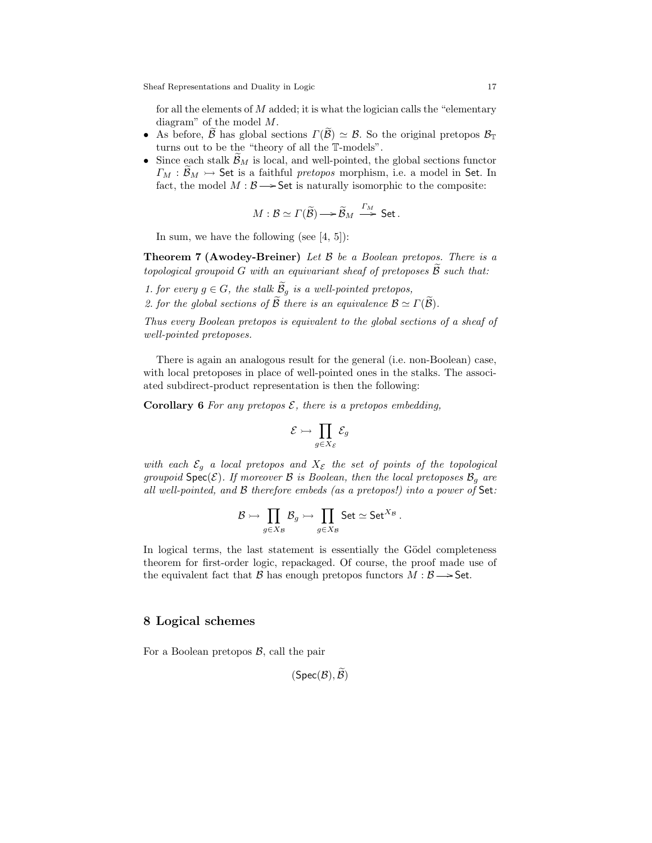for all the elements of  $M$  added; it is what the logician calls the "elementary" diagram" of the model  $M$ .

- As before,  $\widetilde{\beta}$  has global sections  $\Gamma(\widetilde{\beta}) \simeq \mathcal{B}$ . So the original pretopos  $\mathcal{B}_{\mathbb{T}}$ turns out to be the "theory of all the T-models".
- Since each stalk  $\mathcal{B}_M$  is local, and well-pointed, the global sections functor  $\Gamma_M : \mathcal{B}_M \rightarrow \mathsf{Set}$  is a faithful pretopos morphism, i.e. a model in Set. In fact, the model  $M : \mathcal{B} \longrightarrow$  Set is naturally isomorphic to the composite:

$$
M: \mathcal{B} \simeq \Gamma(\widetilde{\mathcal{B}}) \longrightarrow \widetilde{\mathcal{B}}_M \stackrel{\varGamma_M}{\longrightarrow} \mathsf{Set}.
$$

In sum, we have the following (see  $[4, 5]$ ):

**Theorem 7 (Awodey-Breiner)** Let  $\beta$  be a Boolean pretopos. There is a topological groupoid G with an equivariant sheaf of pretoposes  $\tilde{\mathcal{B}}$  such that:

1. for every  $g \in G$ , the stalk  $\widetilde{\mathcal{B}}_g$  is a well-pointed pretopos, 2. for the global sections of  $\widetilde{\mathcal{B}}$  there is an equivalence  $\mathcal{B} \simeq \Gamma(\widetilde{\mathcal{B}})$ .

Thus every Boolean pretopos is equivalent to the global sections of a sheaf of well-pointed pretoposes.

There is again an analogous result for the general (i.e. non-Boolean) case, with local pretoposes in place of well-pointed ones in the stalks. The associated subdirect-product representation is then the following:

**Corollary 6** For any pretopos  $\mathcal{E}$ , there is a pretopos embedding,

$$
\mathcal{E} \rightarrowtail \prod_{g \in X_{\mathcal{E}}} \mathcal{E}_g
$$

with each  $\mathcal{E}_q$  a local pretopos and  $X_{\mathcal{E}}$  the set of points of the topological groupoid  $Spec(\mathcal{E})$ . If moreover  $\mathcal B$  is Boolean, then the local pretoposes  $\mathcal B_q$  are all well-pointed, and B therefore embeds (as a pretopos!) into a power of Set:

$$
\mathcal{B} \rightarrowtail \prod_{g \in X_{\mathcal{B}}} \mathcal{B}_g \rightarrowtail \prod_{g \in X_{\mathcal{B}}} \mathsf{Set} \simeq \mathsf{Set}^{X_{\mathcal{B}}} \,.
$$

In logical terms, the last statement is essentially the Gödel completeness theorem for first-order logic, repackaged. Of course, the proof made use of the equivalent fact that B has enough pretopos functors  $M : \mathcal{B} \longrightarrow$  Set.

## 8 Logical schemes

For a Boolean pretopos  $\mathcal{B}$ , call the pair

$$
(\mathsf{Spec}(\mathcal{B}),\mathcal{B})
$$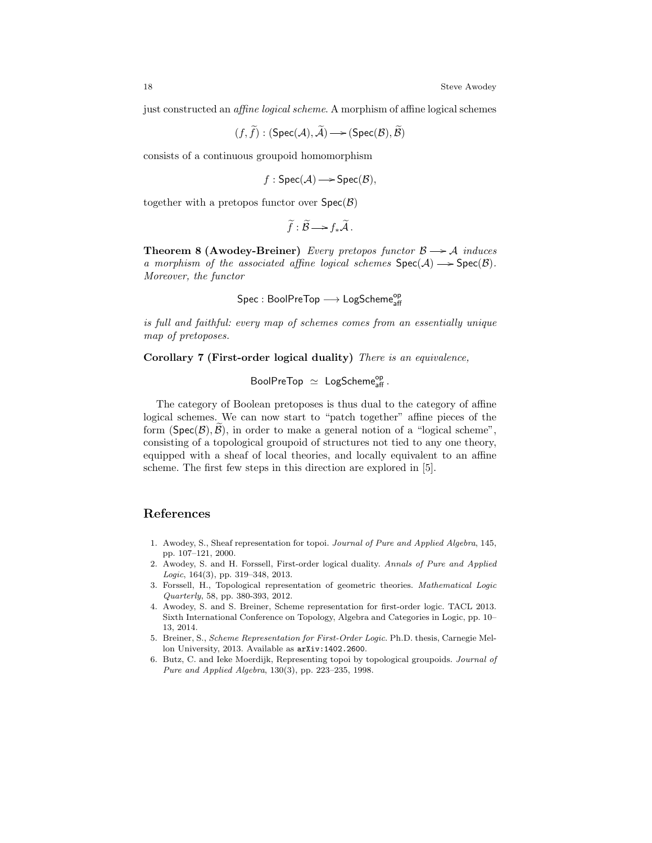just constructed an affine logical scheme. A morphism of affine logical schemes

$$
(f,\widetilde{f}):(\mathrm{Spec}(\mathcal{A}),\widetilde{\mathcal{A}}){\longrightarrow}(\mathrm{Spec}(\mathcal{B}),\widetilde{\mathcal{B}})
$$

consists of a continuous groupoid homomorphism

$$
f: \text{Spec}(\mathcal{A}) \longrightarrow \text{Spec}(\mathcal{B}),
$$

together with a pretopos functor over  $Spec(\mathcal{B})$ 

$$
\widetilde{f}:\widetilde{\mathcal{B}}\longrightarrow f_*\widetilde{\mathcal{A}}.
$$

**Theorem 8 (Awodey-Breiner)** Every pretopos functor  $\beta \rightarrow A$  induces a morphism of the associated affine logical schemes  $Spec(A) \longrightarrow Spec(B)$ . Moreover, the functor

 $\mathsf{Spec} : \mathsf{BoolPreTop} \longrightarrow \mathsf{LogScheme}_{\mathsf{aff}}^{\mathsf{op}}$ 

is full and faithful: every map of schemes comes from an essentially unique map of pretoposes.

Corollary 7 (First-order logical duality) There is an equivalence,

$$
\text{BoolPreTop } \simeq \text{ LogScheme}_{\text{aff}}^{\text{op}}.
$$

The category of Boolean pretoposes is thus dual to the category of affine logical schemes. We can now start to "patch together" affine pieces of the form  $(Spec(B), B)$ , in order to make a general notion of a "logical scheme", consisting of a topological groupoid of structures not tied to any one theory, equipped with a sheaf of local theories, and locally equivalent to an affine scheme. The first few steps in this direction are explored in [5].

# References

- 1. Awodey, S., Sheaf representation for topoi. Journal of Pure and Applied Algebra, 145, pp. 107–121, 2000.
- 2. Awodey, S. and H. Forssell, First-order logical duality. Annals of Pure and Applied Logic, 164(3), pp. 319–348, 2013.
- 3. Forssell, H., Topological representation of geometric theories. Mathematical Logic Quarterly, 58, pp. 380-393, 2012.
- 4. Awodey, S. and S. Breiner, Scheme representation for first-order logic. TACL 2013. Sixth International Conference on Topology, Algebra and Categories in Logic, pp. 10– 13, 2014.
- 5. Breiner, S., Scheme Representation for First-Order Logic. Ph.D. thesis, Carnegie Mellon University, 2013. Available as arXiv:1402.2600.
- 6. Butz, C. and Ieke Moerdijk, Representing topoi by topological groupoids. Journal of Pure and Applied Algebra, 130(3), pp. 223–235, 1998.